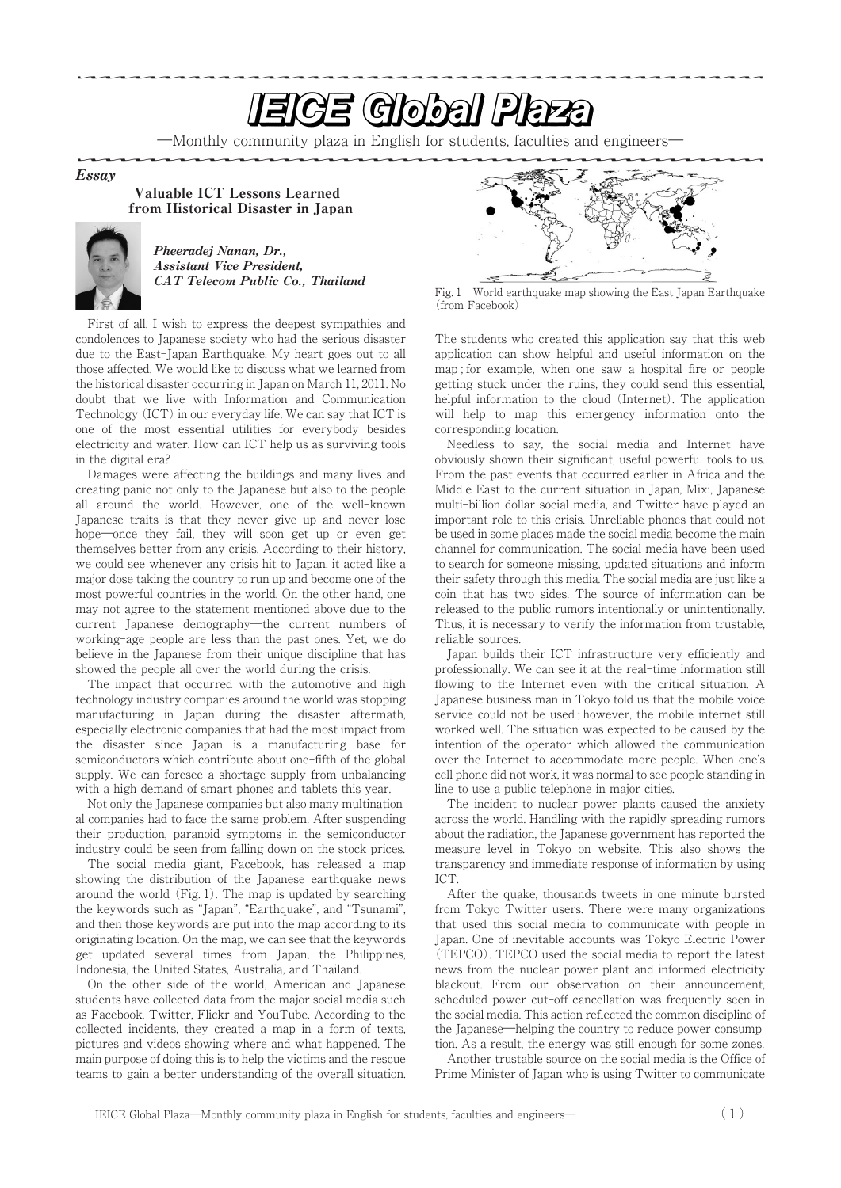## <u>In the second contract of the second second second second second second second second second second second second second second second second second second second second second second second second second second second se</u>

―Monthly community plaza in English for students, faculties and engineers―

Essay

Valuable ICT Lessons Learned from Historical Disaster in Japan



Pheeradej Nanan, Dr., Assistant Vice President, CAT Telecom Public Co., Thailand

First of all, I wish to express the deepest sympathies and condolences to Japanese society who had the serious disaster due to the East-Japan Earthquake. My heart goes out to all those affected. We would like to discuss what we learned from the historical disaster occurring in Japan on March 11, 2011. No doubt that we live with Information and Communication Technology (ICT) in our everyday life. We can say that ICT is one of the most essential utilities for everybody besides electricity and water. How can ICT help us as surviving tools in the digital era?

Damages were affecting the buildings and many lives and creating panic not only to the Japanese but also to the people all around the world. However, one of the well-known Japanese traits is that they never give up and never lose hope—once they fail, they will soon get up or even get themselves better from any crisis. According to their history, we could see whenever any crisis hit to Japan, it acted like a major dose taking the country to run up and become one of the most powerful countries in the world. On the other hand, one may not agree to the statement mentioned above due to the current Japanese demography―the current numbers of working-age people are less than the past ones. Yet, we do believe in the Japanese from their unique discipline that has showed the people all over the world during the crisis.

The impact that occurred with the automotive and high technology industry companies around the world was stopping manufacturing in Japan during the disaster aftermath, especially electronic companies that had the most impact from the disaster since Japan is a manufacturing base for semiconductors which contribute about one-fifth of the global supply. We can foresee a shortage supply from unbalancing with a high demand of smart phones and tablets this year.

Not only the Japanese companies but also many multinational companies had to face the same problem. After suspending their production, paranoid symptoms in the semiconductor industry could be seen from falling down on the stock prices.

The social media giant, Facebook, has released a map showing the distribution of the Japanese earthquake news around the world (Fig. 1). The map is updated by searching the keywords such as "Japan", "Earthquake", and "Tsunami", and then those keywords are put into the map according to its originating location. On the map, we can see that the keywords get updated several times from Japan, the Philippines, Indonesia, the United States, Australia, and Thailand.

On the other side of the world, American and Japanese students have collected data from the major social media such as Facebook, Twitter, Flickr and YouTube. According to the collected incidents, they created a map in a form of texts, pictures and videos showing where and what happened. The main purpose of doing this is to help the victims and the rescue teams to gain a better understanding of the overall situation.



Fig. 1 World earthquake map showing the East Japan Earthquake (from Facebook)

The students who created this application say that this web application can show helpful and useful information on the map ; for example, when one saw a hospital fire or people getting stuck under the ruins, they could send this essential, helpful information to the cloud (Internet). The application will help to map this emergency information onto the corresponding location.

Needless to say, the social media and Internet have obviously shown their significant, useful powerful tools to us. From the past events that occurred earlier in Africa and the Middle East to the current situation in Japan, Mixi, Japanese multi-billion dollar social media, and Twitter have played an important role to this crisis. Unreliable phones that could not be used in some places made the social media become the main channel for communication. The social media have been used to search for someone missing, updated situations and inform their safety through this media. The social media are just like a coin that has two sides. The source of information can be released to the public rumors intentionally or unintentionally. Thus, it is necessary to verify the information from trustable, reliable sources.

Japan builds their ICT infrastructure very efficiently and professionally. We can see it at the real-time information still flowing to the Internet even with the critical situation. A Japanese business man in Tokyo told us that the mobile voice service could not be used ; however, the mobile internet still worked well. The situation was expected to be caused by the intention of the operator which allowed the communication over the Internet to accommodate more people. When one's cell phone did not work, it was normal to see people standing in line to use a public telephone in major cities.

The incident to nuclear power plants caused the anxiety across the world. Handling with the rapidly spreading rumors about the radiation, the Japanese government has reported the measure level in Tokyo on website. This also shows the transparency and immediate response of information by using ICT.

After the quake, thousands tweets in one minute bursted from Tokyo Twitter users. There were many organizations that used this social media to communicate with people in Japan. One of inevitable accounts was Tokyo Electric Power (TEPCO). TEPCO used the social media to report the latest news from the nuclear power plant and informed electricity blackout. From our observation on their announcement, scheduled power cut-off cancellation was frequently seen in the social media. This action reflected the common discipline of the Japanese―helping the country to reduce power consumption. As a result, the energy was still enough for some zones.

Another trustable source on the social media is the Office of Prime Minister of Japan who is using Twitter to communicate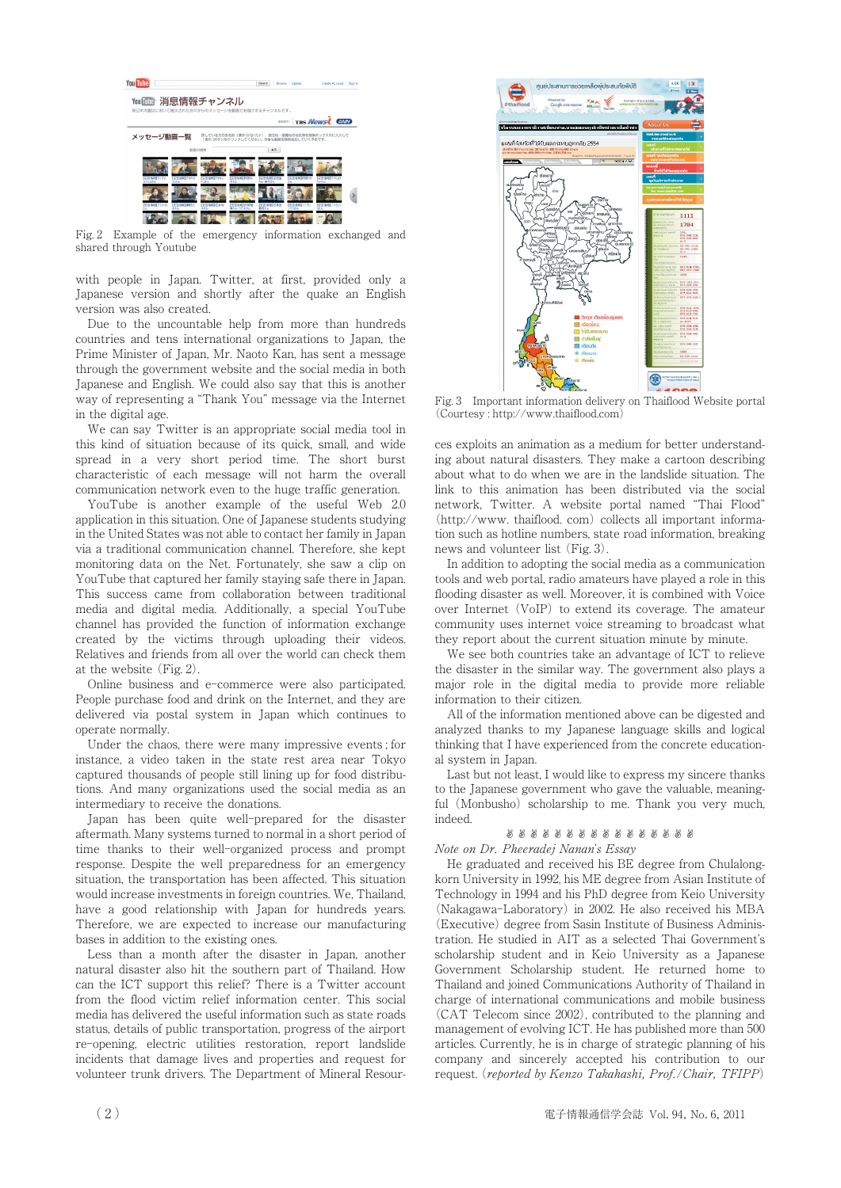

Fig. 2 Example of the emergency information exchanged and shared through Youtube

with people in Japan. Twitter, at first, provided only a Japanese version and shortly after the quake an English version was also created.

Due to the uncountable help from more than hundreds countries and tens international organizations to Japan, the Prime Minister of Japan, Mr. Naoto Kan, has sent a message through the government website and the social media in both Japanese and English. We could also say that this is another way of representing a "Thank You" message via the Internet in the digital age.

We can say Twitter is an appropriate social media tool in this kind of situation because of its quick, small, and wide spread in a very short period time. The short burst characteristic of each message will not harm the overall communication network even to the huge traffic generation.

YouTube is another example of the useful Web 2.0 application in this situation. One of Japanese students studying in the United States was not able to contact her family in Japan via a traditional communication channel. Therefore, she kept monitoring data on the Net. Fortunately, she saw a clip on YouTube that captured her family staying safe there in Japan. This success came from collaboration between traditional media and digital media. Additionally, a special YouTube channel has provided the function of information exchange created by the victims through uploading their videos. Relatives and friends from all over the world can check them at the website (Fig. 2).

Online business and e-commerce were also participated. People purchase food and drink on the Internet, and they are delivered via postal system in Japan which continues to operate normally.

Under the chaos, there were many impressive events ; for instance, a video taken in the state rest area near Tokyo captured thousands of people still lining up for food distributions. And many organizations used the social media as an intermediary to receive the donations.

Japan has been quite well-prepared for the disaster aftermath. Many systems turned to normal in a short period of time thanks to their well-organized process and prompt response. Despite the well preparedness for an emergency situation, the transportation has been affected. This situation would increase investments in foreign countries. We, Thailand, have a good relationship with Japan for hundreds years. Therefore, we are expected to increase our manufacturing bases in addition to the existing ones.

Less than a month after the disaster in Japan, another natural disaster also hit the southern part of Thailand. How can the ICT support this relief? There is a Twitter account from the flood victim relief information center. This social media has delivered the useful information such as state roads status, details of public transportation, progress of the airport re-opening, electric utilities restoration, report landslide incidents that damage lives and properties and request for volunteer trunk drivers. The Department of Mineral Resour-



Fig. 3 Important information delivery on Thaiflood Website portal (Courtesy : http://www.thaiflood.com)

ces exploits an animation as a medium for better understanding about natural disasters. They make a cartoon describing about what to do when we are in the landslide situation. The link to this animation has been distributed via the social network, Twitter. A website portal named "Thai Flood" (http://www. thaiflood. com) collects all important information such as hotline numbers, state road information, breaking news and volunteer list (Fig. 3).

In addition to adopting the social media as a communication tools and web portal, radio amateurs have played a role in this flooding disaster as well. Moreover, it is combined with Voice over Internet (VoIP) to extend its coverage. The amateur community uses internet voice streaming to broadcast what they report about the current situation minute by minute.

We see both countries take an advantage of ICT to relieve the disaster in the similar way. The government also plays a major role in the digital media to provide more reliable information to their citizen.

All of the information mentioned above can be digested and analyzed thanks to my Japanese language skills and logical thinking that I have experienced from the concrete educational system in Japan.

Last but not least, I would like to express my sincere thanks to the Japanese government who gave the valuable, meaningful (Monbusho) scholarship to me. Thank you very much, indeed.

#### ✌✌✌✌✌✌✌✌✌✌✌✌✌✌✌✌

Note on Dr. Pheeradej Nanan's Essay

He graduated and received his BE degree from Chulalongkorn University in 1992, his ME degree from Asian Institute of Technology in 1994 and his PhD degree from Keio University (Nakagawa-Laboratory) in 2002. He also received his MBA (Executive) degree from Sasin Institute of Business Administration. He studied in AIT as a selected Thai Government's scholarship student and in Keio University as a Japanese Government Scholarship student. He returned home to Thailand and joined Communications Authority of Thailand in charge of international communications and mobile business (CAT Telecom since 2002), contributed to the planning and management of evolving ICT. He has published more than 500 articles. Currently, he is in charge of strategic planning of his company and sincerely accepted his contribution to our request. (reported by Kenzo Takahashi, Prof./Chair, TFIPP)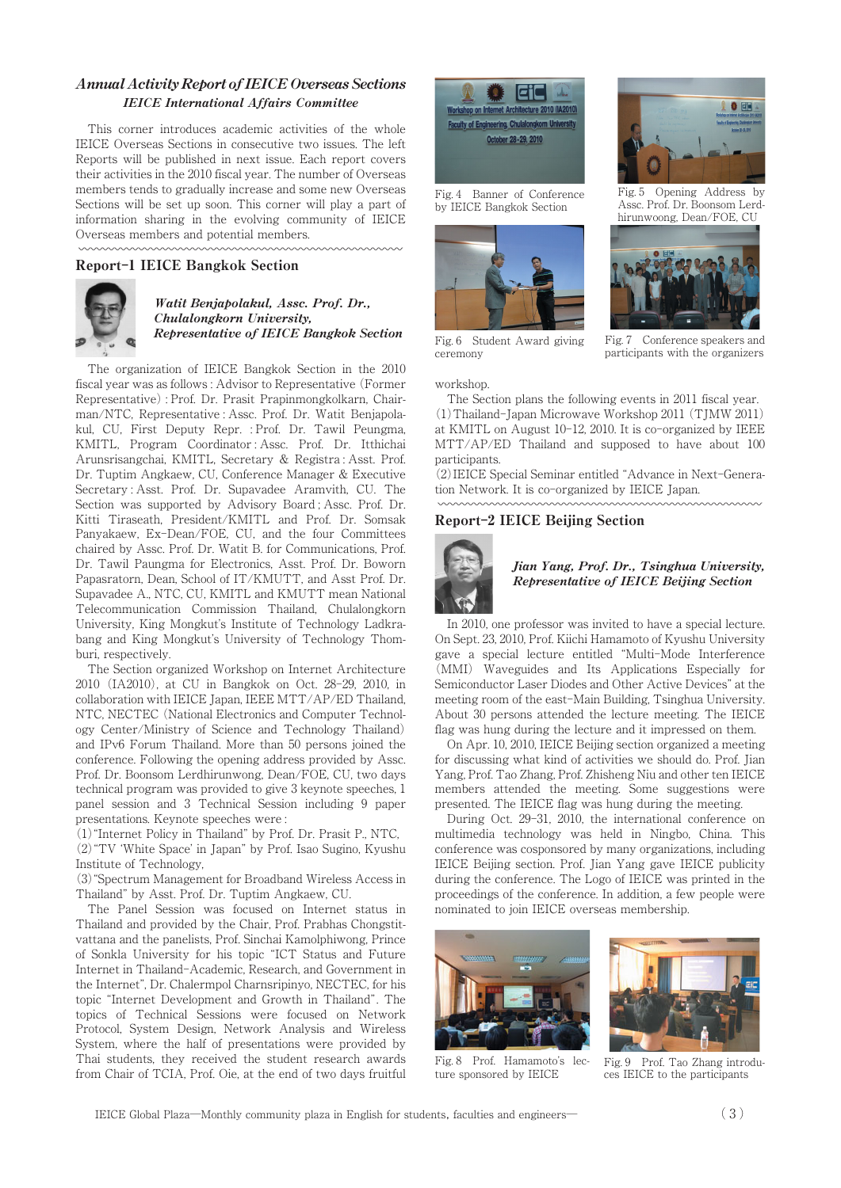### Annual Activity Report of IEICE Overseas Sections IEICE International Affairs Committee

This corner introduces academic activities of the whole IEICE Overseas Sections in consecutive two issues. The left Reports will be published in next issue. Each report covers their activities in the 2010 fiscal year. The number of Overseas members tends to gradually increase and some new Overseas Sections will be set up soon. This corner will play a part of information sharing in the evolving community of IEICE Overseas members and potential members. Sections will be set up soon. This corner<br>information sharing in the evolving co<br>Overseas members and potential members<br>www.www.www.www.www.www.www.<br>**Report-1 IEICE Bangkok Section** 



#### Watit Benjapolakul, Assc. Prof. Dr., Chulalongkorn University, Representative of IEICE Bangkok Section

The organization of IEICE Bangkok Section in the 2010 fiscal year was as follows : Advisor to Representative (Former Representative) : Prof. Dr. Prasit Prapinmongkolkarn, Chairman/NTC, Representative : Assc. Prof. Dr. Watit Benjapolakul, CU, First Deputy Repr. : Prof. Dr. Tawil Peungma, KMITL, Program Coordinator : Assc. Prof. Dr. Itthichai Arunsrisangchai, KMITL, Secretary & Registra : Asst. Prof. Dr. Tuptim Angkaew, CU, Conference Manager & Executive Secretary : Asst. Prof. Dr. Supavadee Aramvith, CU. The Section was supported by Advisory Board ; Assc. Prof. Dr. Kitti Tiraseath, President/KMITL and Prof. Dr. Somsak Panyakaew, Ex-Dean/FOE, CU, and the four Committees chaired by Assc. Prof. Dr. Watit B. for Communications, Prof. Dr. Tawil Paungma for Electronics, Asst. Prof. Dr. Boworn Papasratorn, Dean, School of IT/KMUTT, and Asst Prof. Dr. Supavadee A., NTC, CU, KMITL and KMUTT mean National Telecommunication Commission Thailand, Chulalongkorn University, King Mongkut's Institute of Technology Ladkrabang and King Mongkut's University of Technology Thomburi, respectively.

The Section organized Workshop on Internet Architecture 2010 (IA2010), at CU in Bangkok on Oct. 28-29, 2010, in collaboration with IEICE Japan, IEEE MTT/AP/ED Thailand, NTC, NECTEC (National Electronics and Computer Technology Center/Ministry of Science and Technology Thailand) and IPv6 Forum Thailand. More than 50 persons joined the conference. Following the opening address provided by Assc. Prof. Dr. Boonsom Lerdhirunwong, Dean/FOE, CU, two days technical program was provided to give 3 keynote speeches, 1 panel session and 3 Technical Session including 9 paper presentations. Keynote speeches were :

(1)"Internet Policy in Thailand" by Prof. Dr. Prasit P., NTC, (2)"TV ʻWhite Space' in Japan" by Prof. Isao Sugino, Kyushu Institute of Technology,

(3)"Spectrum Management for Broadband Wireless Access in Thailand" by Asst. Prof. Dr. Tuptim Angkaew, CU.

The Panel Session was focused on Internet status in Thailand and provided by the Chair, Prof. Prabhas Chongstitvattana and the panelists, Prof. Sinchai Kamolphiwong, Prince of Sonkla University for his topic "ICT Status and Future Internet in Thailand-Academic, Research, and Government in the Internet", Dr. Chalermpol Charnsripinyo, NECTEC, for his topic "Internet Development and Growth in Thailand". The topics of Technical Sessions were focused on Network Protocol, System Design, Network Analysis and Wireless System, where the half of presentations were provided by Thai students, they received the student research awards from Chair of TCIA, Prof. Oie, at the end of two days fruitful



Fig. 4 Banner of Conference by IEICE Bangkok Section





Fig. 5 Opening Address by Assc. Prof. Dr. Boonsom Lerdhirunwoong, Dean/FOE, CU



Fig. 6 Student Award giving ceremony

Fig. 7 Conference speakers and participants with the organizers

workshop.

The Section plans the following events in 2011 fiscal year. (1)Thailand-Japan Microwave Workshop 2011 (TJMW 2011) at KMITL on August 10-12, 2010. It is co-organized by IEEE MTT/AP/ED Thailand and supposed to have about 100 participants.

(2)IEICE Special Seminar entitled "Advance in Next-Generation Network. It is co-organized by IEICE Japan.

### Report**-**2 IEICE Beijing Section



#### Jian Yang, Prof. Dr., Tsinghua University, Representative of IEICE Beijing Section

In 2010, one professor was invited to have a special lecture. On Sept. 23, 2010, Prof. Kiichi Hamamoto of Kyushu University gave a special lecture entitled "Multi-Mode Interference (MMI) Waveguides and Its Applications Especially for Semiconductor Laser Diodes and Other Active Devices" at the meeting room of the east-Main Building, Tsinghua University. About 30 persons attended the lecture meeting. The IEICE flag was hung during the lecture and it impressed on them.

On Apr. 10, 2010, IEICE Beijing section organized a meeting for discussing what kind of activities we should do. Prof. Jian Yang, Prof. Tao Zhang, Prof. Zhisheng Niu and other ten IEICE members attended the meeting. Some suggestions were presented. The IEICE flag was hung during the meeting.

During Oct. 29-31, 2010, the international conference on multimedia technology was held in Ningbo, China. This conference was cosponsored by many organizations, including IEICE Beijing section. Prof. Jian Yang gave IEICE publicity during the conference. The Logo of IEICE was printed in the proceedings of the conference. In addition, a few people were nominated to join IEICE overseas membership.



Fig. 8 Prof. Hamamoto's lecture sponsored by IEICE



Fig. 9 Prof. Tao Zhang introduces IEICE to the participants